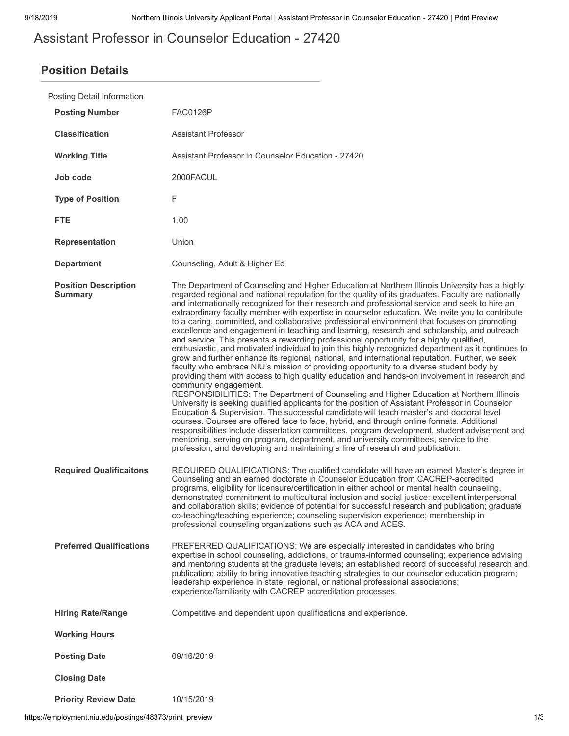# Assistant Professor in Counselor Education - 27420

## **Position Details**

| Posting Detail Information                    |                                                                                                                                                                                                                                                                                                                                                                                                                                                                                                                                                                                                                                                                                                                                                                                                                                                                                                                                                                                                                                                                                                                                                                                                                                                                                                                                                                                                                                                                                                                                                                                                                                                                                                                                                                                                      |
|-----------------------------------------------|------------------------------------------------------------------------------------------------------------------------------------------------------------------------------------------------------------------------------------------------------------------------------------------------------------------------------------------------------------------------------------------------------------------------------------------------------------------------------------------------------------------------------------------------------------------------------------------------------------------------------------------------------------------------------------------------------------------------------------------------------------------------------------------------------------------------------------------------------------------------------------------------------------------------------------------------------------------------------------------------------------------------------------------------------------------------------------------------------------------------------------------------------------------------------------------------------------------------------------------------------------------------------------------------------------------------------------------------------------------------------------------------------------------------------------------------------------------------------------------------------------------------------------------------------------------------------------------------------------------------------------------------------------------------------------------------------------------------------------------------------------------------------------------------------|
| <b>Posting Number</b>                         | <b>FAC0126P</b>                                                                                                                                                                                                                                                                                                                                                                                                                                                                                                                                                                                                                                                                                                                                                                                                                                                                                                                                                                                                                                                                                                                                                                                                                                                                                                                                                                                                                                                                                                                                                                                                                                                                                                                                                                                      |
| <b>Classification</b>                         | <b>Assistant Professor</b>                                                                                                                                                                                                                                                                                                                                                                                                                                                                                                                                                                                                                                                                                                                                                                                                                                                                                                                                                                                                                                                                                                                                                                                                                                                                                                                                                                                                                                                                                                                                                                                                                                                                                                                                                                           |
| <b>Working Title</b>                          | Assistant Professor in Counselor Education - 27420                                                                                                                                                                                                                                                                                                                                                                                                                                                                                                                                                                                                                                                                                                                                                                                                                                                                                                                                                                                                                                                                                                                                                                                                                                                                                                                                                                                                                                                                                                                                                                                                                                                                                                                                                   |
| Job code                                      | 2000FACUL                                                                                                                                                                                                                                                                                                                                                                                                                                                                                                                                                                                                                                                                                                                                                                                                                                                                                                                                                                                                                                                                                                                                                                                                                                                                                                                                                                                                                                                                                                                                                                                                                                                                                                                                                                                            |
| <b>Type of Position</b>                       | F                                                                                                                                                                                                                                                                                                                                                                                                                                                                                                                                                                                                                                                                                                                                                                                                                                                                                                                                                                                                                                                                                                                                                                                                                                                                                                                                                                                                                                                                                                                                                                                                                                                                                                                                                                                                    |
| <b>FTE</b>                                    | 1.00                                                                                                                                                                                                                                                                                                                                                                                                                                                                                                                                                                                                                                                                                                                                                                                                                                                                                                                                                                                                                                                                                                                                                                                                                                                                                                                                                                                                                                                                                                                                                                                                                                                                                                                                                                                                 |
| <b>Representation</b>                         | Union                                                                                                                                                                                                                                                                                                                                                                                                                                                                                                                                                                                                                                                                                                                                                                                                                                                                                                                                                                                                                                                                                                                                                                                                                                                                                                                                                                                                                                                                                                                                                                                                                                                                                                                                                                                                |
| <b>Department</b>                             | Counseling, Adult & Higher Ed                                                                                                                                                                                                                                                                                                                                                                                                                                                                                                                                                                                                                                                                                                                                                                                                                                                                                                                                                                                                                                                                                                                                                                                                                                                                                                                                                                                                                                                                                                                                                                                                                                                                                                                                                                        |
| <b>Position Description</b><br><b>Summary</b> | The Department of Counseling and Higher Education at Northern Illinois University has a highly<br>regarded regional and national reputation for the quality of its graduates. Faculty are nationally<br>and internationally recognized for their research and professional service and seek to hire an<br>extraordinary faculty member with expertise in counselor education. We invite you to contribute<br>to a caring, committed, and collaborative professional environment that focuses on promoting<br>excellence and engagement in teaching and learning, research and scholarship, and outreach<br>and service. This presents a rewarding professional opportunity for a highly qualified,<br>enthusiastic, and motivated individual to join this highly recognized department as it continues to<br>grow and further enhance its regional, national, and international reputation. Further, we seek<br>faculty who embrace NIU's mission of providing opportunity to a diverse student body by<br>providing them with access to high quality education and hands-on involvement in research and<br>community engagement.<br>RESPONSIBILITIES: The Department of Counseling and Higher Education at Northern Illinois<br>University is seeking qualified applicants for the position of Assistant Professor in Counselor<br>Education & Supervision. The successful candidate will teach master's and doctoral level<br>courses. Courses are offered face to face, hybrid, and through online formats. Additional<br>responsibilities include dissertation committees, program development, student advisement and<br>mentoring, serving on program, department, and university committees, service to the<br>profession, and developing and maintaining a line of research and publication. |
| <b>Required Qualificaitons</b>                | REQUIRED QUALIFICATIONS: The qualified candidate will have an earned Master's degree in<br>Counseling and an earned doctorate in Counselor Education from CACREP-accredited<br>programs, eligibility for licensure/certification in either school or mental health counseling,<br>demonstrated commitment to multicultural inclusion and social justice; excellent interpersonal<br>and collaboration skills; evidence of potential for successful research and publication; graduate<br>co-teaching/teaching experience; counseling supervision experience; membership in<br>professional counseling organizations such as ACA and ACES.                                                                                                                                                                                                                                                                                                                                                                                                                                                                                                                                                                                                                                                                                                                                                                                                                                                                                                                                                                                                                                                                                                                                                            |
| <b>Preferred Qualifications</b>               | PREFERRED QUALIFICATIONS: We are especially interested in candidates who bring<br>expertise in school counseling, addictions, or trauma-informed counseling; experience advising<br>and mentoring students at the graduate levels; an established record of successful research and<br>publication; ability to bring innovative teaching strategies to our counselor education program;<br>leadership experience in state, regional, or national professional associations;<br>experience/familiarity with CACREP accreditation processes.                                                                                                                                                                                                                                                                                                                                                                                                                                                                                                                                                                                                                                                                                                                                                                                                                                                                                                                                                                                                                                                                                                                                                                                                                                                           |
| <b>Hiring Rate/Range</b>                      | Competitive and dependent upon qualifications and experience.                                                                                                                                                                                                                                                                                                                                                                                                                                                                                                                                                                                                                                                                                                                                                                                                                                                                                                                                                                                                                                                                                                                                                                                                                                                                                                                                                                                                                                                                                                                                                                                                                                                                                                                                        |
| <b>Working Hours</b>                          |                                                                                                                                                                                                                                                                                                                                                                                                                                                                                                                                                                                                                                                                                                                                                                                                                                                                                                                                                                                                                                                                                                                                                                                                                                                                                                                                                                                                                                                                                                                                                                                                                                                                                                                                                                                                      |
| <b>Posting Date</b>                           | 09/16/2019                                                                                                                                                                                                                                                                                                                                                                                                                                                                                                                                                                                                                                                                                                                                                                                                                                                                                                                                                                                                                                                                                                                                                                                                                                                                                                                                                                                                                                                                                                                                                                                                                                                                                                                                                                                           |
| <b>Closing Date</b>                           |                                                                                                                                                                                                                                                                                                                                                                                                                                                                                                                                                                                                                                                                                                                                                                                                                                                                                                                                                                                                                                                                                                                                                                                                                                                                                                                                                                                                                                                                                                                                                                                                                                                                                                                                                                                                      |
| <b>Priority Review Date</b>                   | 10/15/2019                                                                                                                                                                                                                                                                                                                                                                                                                                                                                                                                                                                                                                                                                                                                                                                                                                                                                                                                                                                                                                                                                                                                                                                                                                                                                                                                                                                                                                                                                                                                                                                                                                                                                                                                                                                           |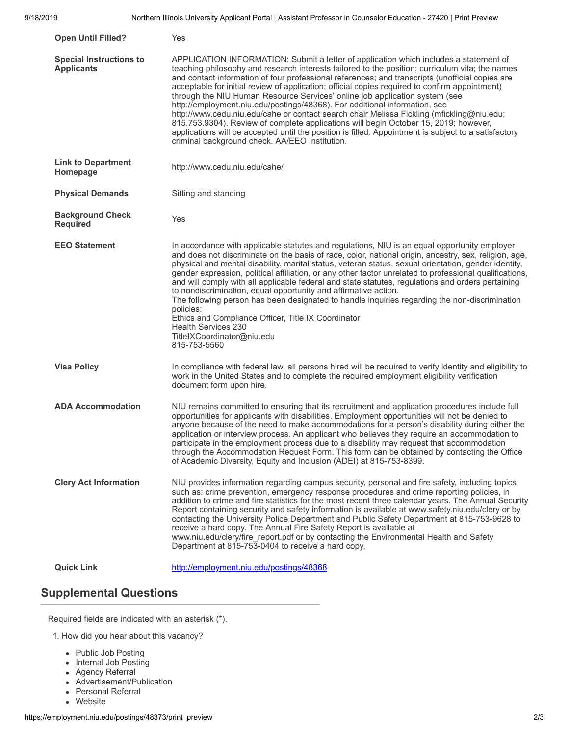| <b>Open Until Filled?</b>                           | Yes                                                                                                                                                                                                                                                                                                                                                                                                                                                                                                                                                                                                                                                                                                                                                                                                                                                                                                       |
|-----------------------------------------------------|-----------------------------------------------------------------------------------------------------------------------------------------------------------------------------------------------------------------------------------------------------------------------------------------------------------------------------------------------------------------------------------------------------------------------------------------------------------------------------------------------------------------------------------------------------------------------------------------------------------------------------------------------------------------------------------------------------------------------------------------------------------------------------------------------------------------------------------------------------------------------------------------------------------|
| <b>Special Instructions to</b><br><b>Applicants</b> | APPLICATION INFORMATION: Submit a letter of application which includes a statement of<br>teaching philosophy and research interests tailored to the position; curriculum vita; the names<br>and contact information of four professional references; and transcripts (unofficial copies are<br>acceptable for initial review of application; official copies required to confirm appointment)<br>through the NIU Human Resource Services' online job application system (see<br>http://employment.niu.edu/postings/48368). For additional information, see<br>http://www.cedu.niu.edu/cahe or contact search chair Melissa Fickling (mfickling@niu.edu;<br>815.753.9304). Review of complete applications will begin October 15, 2019; however,<br>applications will be accepted until the position is filled. Appointment is subject to a satisfactory<br>criminal background check. AA/EEO Institution. |
| <b>Link to Department</b><br>Homepage               | http://www.cedu.niu.edu/cahe/                                                                                                                                                                                                                                                                                                                                                                                                                                                                                                                                                                                                                                                                                                                                                                                                                                                                             |
| <b>Physical Demands</b>                             | Sitting and standing                                                                                                                                                                                                                                                                                                                                                                                                                                                                                                                                                                                                                                                                                                                                                                                                                                                                                      |
| <b>Background Check</b><br><b>Required</b>          | Yes                                                                                                                                                                                                                                                                                                                                                                                                                                                                                                                                                                                                                                                                                                                                                                                                                                                                                                       |
| <b>EEO Statement</b>                                | In accordance with applicable statutes and regulations, NIU is an equal opportunity employer<br>and does not discriminate on the basis of race, color, national origin, ancestry, sex, religion, age,<br>physical and mental disability, marital status, veteran status, sexual orientation, gender identity,<br>gender expression, political affiliation, or any other factor unrelated to professional qualifications,<br>and will comply with all applicable federal and state statutes, regulations and orders pertaining<br>to nondiscrimination, equal opportunity and affirmative action.<br>The following person has been designated to handle inquiries regarding the non-discrimination<br>policies:<br>Ethics and Compliance Officer, Title IX Coordinator<br>Health Services 230<br>TitleIXCoordinator@niu.edu<br>815-753-5560                                                                |
| <b>Visa Policy</b>                                  | In compliance with federal law, all persons hired will be required to verify identity and eligibility to<br>work in the United States and to complete the required employment eligibility verification<br>document form upon hire.                                                                                                                                                                                                                                                                                                                                                                                                                                                                                                                                                                                                                                                                        |
| <b>ADA Accommodation</b>                            | NIU remains committed to ensuring that its recruitment and application procedures include full<br>opportunities for applicants with disabilities. Employment opportunities will not be denied to<br>anyone because of the need to make accommodations for a person's disability during either the<br>application or interview process. An applicant who believes they require an accommodation to<br>participate in the employment process due to a disability may request that accommodation<br>through the Accommodation Request Form. This form can be obtained by contacting the Office<br>of Academic Diversity, Equity and Inclusion (ADEI) at 815-753-8399.                                                                                                                                                                                                                                        |
| <b>Clery Act Information</b>                        | NIU provides information regarding campus security, personal and fire safety, including topics<br>such as: crime prevention, emergency response procedures and crime reporting policies, in<br>addition to crime and fire statistics for the most recent three calendar years. The Annual Security<br>Report containing security and safety information is available at www.safety.niu.edu/clery or by<br>contacting the University Police Department and Public Safety Department at 815-753-9628 to<br>receive a hard copy. The Annual Fire Safety Report is available at<br>www.niu.edu/clery/fire report.pdf or by contacting the Environmental Health and Safety<br>Department at 815-753-0404 to receive a hard copy.                                                                                                                                                                               |
| <b>Quick Link</b>                                   | http://employment.niu.edu/postings/48368                                                                                                                                                                                                                                                                                                                                                                                                                                                                                                                                                                                                                                                                                                                                                                                                                                                                  |

## **Supplemental Questions**

Required fields are indicated with an asterisk (\*).

- 1. How did you hear about this vacancy?
	- Public Job Posting
	- Internal Job Posting
	- Agency Referral
	- Advertisement/Publication
	- Personal Referral
	- Website